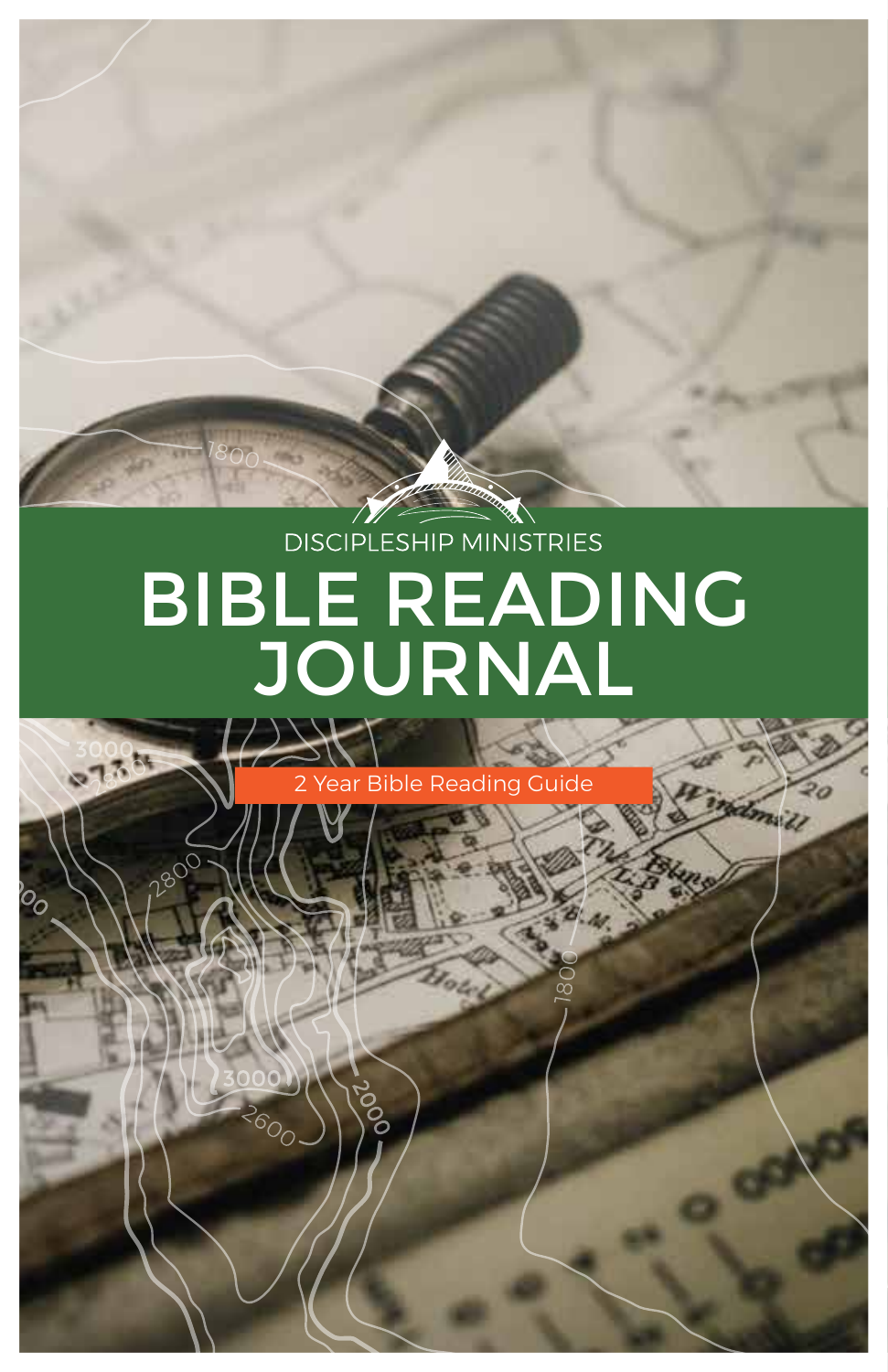# DISCIPLESHIP MINISTRIES BIBLE READING JOURNAL

**Guide** 

mail)

3735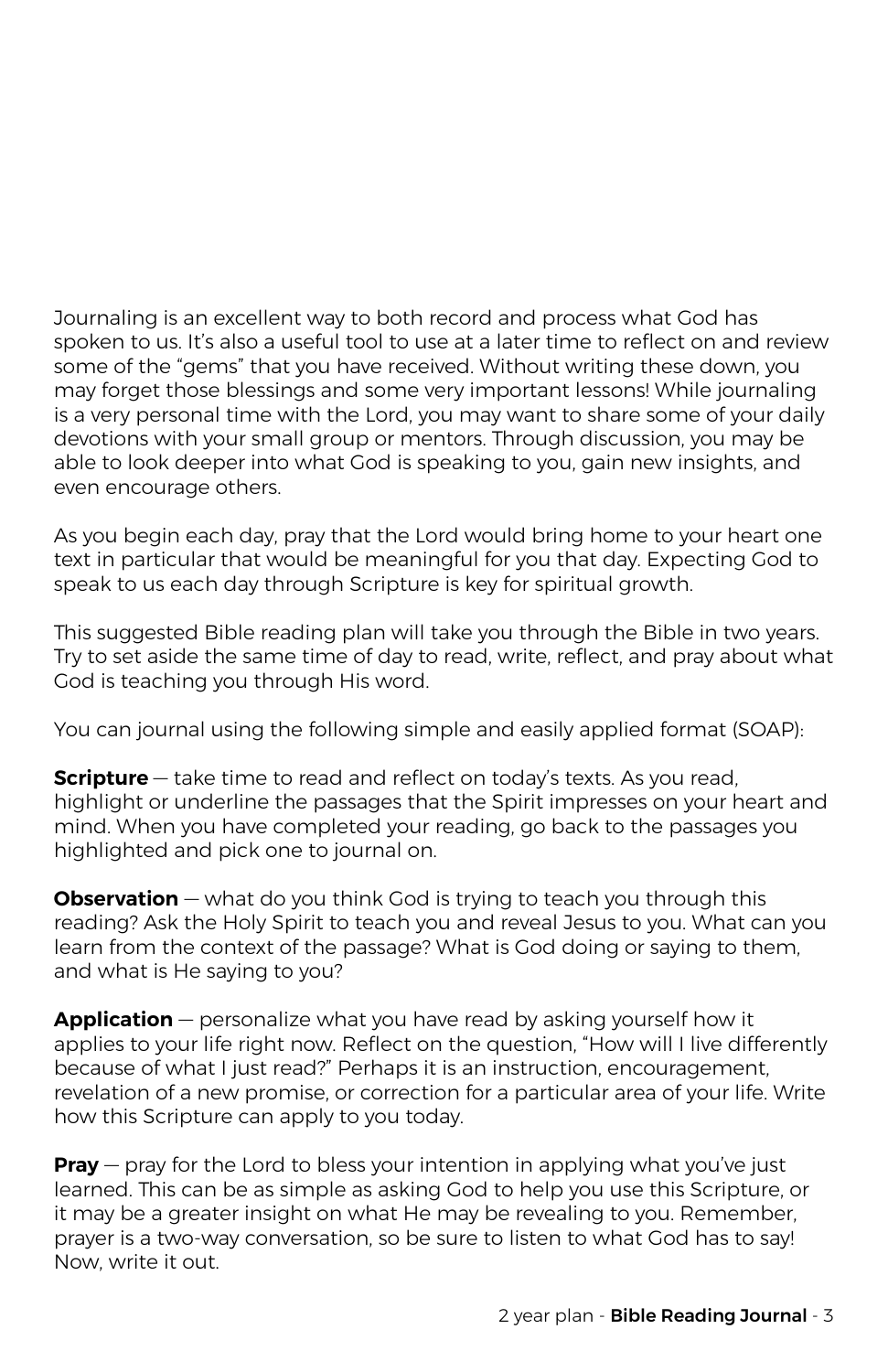Journaling is an excellent way to both record and process what God has spoken to us. It's also a useful tool to use at a later time to reflect on and review some of the "gems" that you have received. Without writing these down, you may forget those blessings and some very important lessons! While journaling is a very personal time with the Lord, you may want to share some of your daily devotions with your small group or mentors. Through discussion, you may be able to look deeper into what God is speaking to you, gain new insights, and even encourage others.

As you begin each day, pray that the Lord would bring home to your heart one text in particular that would be meaningful for you that day. Expecting God to speak to us each day through Scripture is key for spiritual growth.

This suggested Bible reading plan will take you through the Bible in two years. Try to set aside the same time of day to read, write, reflect, and pray about what God is teaching you through His word.

You can journal using the following simple and easily applied format (SOAP):

**Scripture** – take time to read and reflect on today's texts. As you read, highlight or underline the passages that the Spirit impresses on your heart and mind. When you have completed your reading, go back to the passages you highlighted and pick one to journal on.

**Observation** – what do you think God is trying to teach you through this reading? Ask the Holy Spirit to teach you and reveal Jesus to you. What can you learn from the context of the passage? What is God doing or saying to them, and what is He saying to you?

**Application** — personalize what you have read by asking yourself how it applies to your life right now. Reflect on the question, "How will I live differently because of what I just read?" Perhaps it is an instruction, encouragement, revelation of a new promise, or correction for a particular area of your life. Write how this Scripture can apply to you today.

**Pray** – pray for the Lord to bless your intention in applying what you've just learned. This can be as simple as asking God to help you use this Scripture, or it may be a greater insight on what He may be revealing to you. Remember, prayer is a two-way conversation, so be sure to listen to what God has to say! Now, write it out.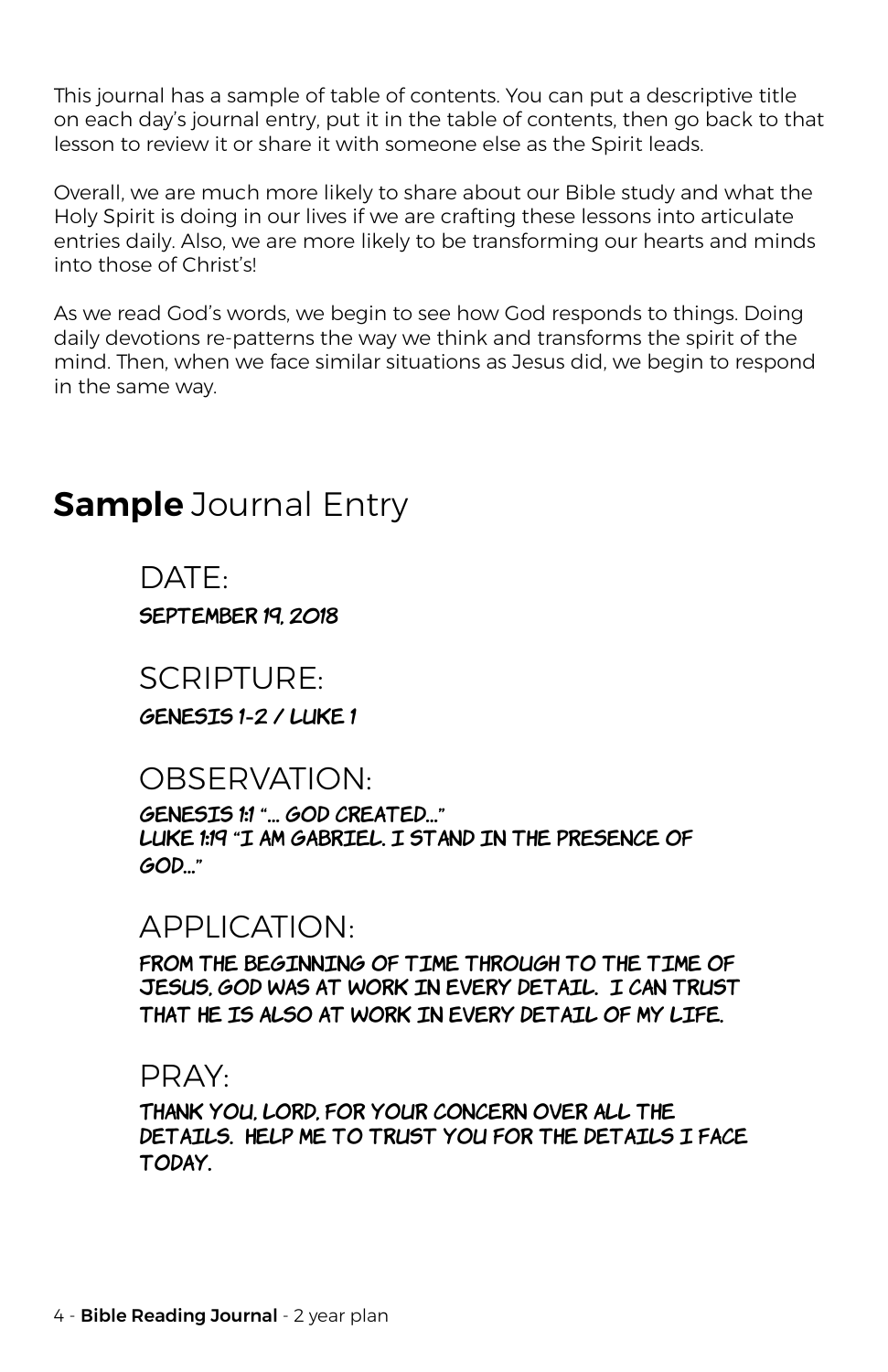This journal has a sample of table of contents. You can put a descriptive title on each day's journal entry, put it in the table of contents, then go back to that lesson to review it or share it with someone else as the Spirit leads.

Overall, we are much more likely to share about our Bible study and what the Holy Spirit is doing in our lives if we are crafting these lessons into articulate entries daily. Also, we are more likely to be transforming our hearts and minds into those of Christ's!

As we read God's words, we begin to see how God responds to things. Doing daily devotions re-patterns the way we think and transforms the spirit of the mind. Then, when we face similar situations as Jesus did, we begin to respond in the same way.

# **Sample** Journal Entry

DATE:

SEPTEMBER 19, 2018

### SCRIPTURE:

Genesis 1-2 / Luke 1

# OBSERVATION:

Genesis 1:1 "… God created…" Luke 1:19 "I am Gabriel. I stand in the Presence of God…"

# APPLICATION:

From the beginning of time through to the time of Jesus, God was at work in every detail. I can trust THAT HE IS ALSO AT WORK IN EVERY DETAIL OF MY LIFE.

### PRAY:

Thank you, Lord, for your concern over all the DETAILS. HELP ME TO TRUST YOU FOR THE DETAILS I FACE today.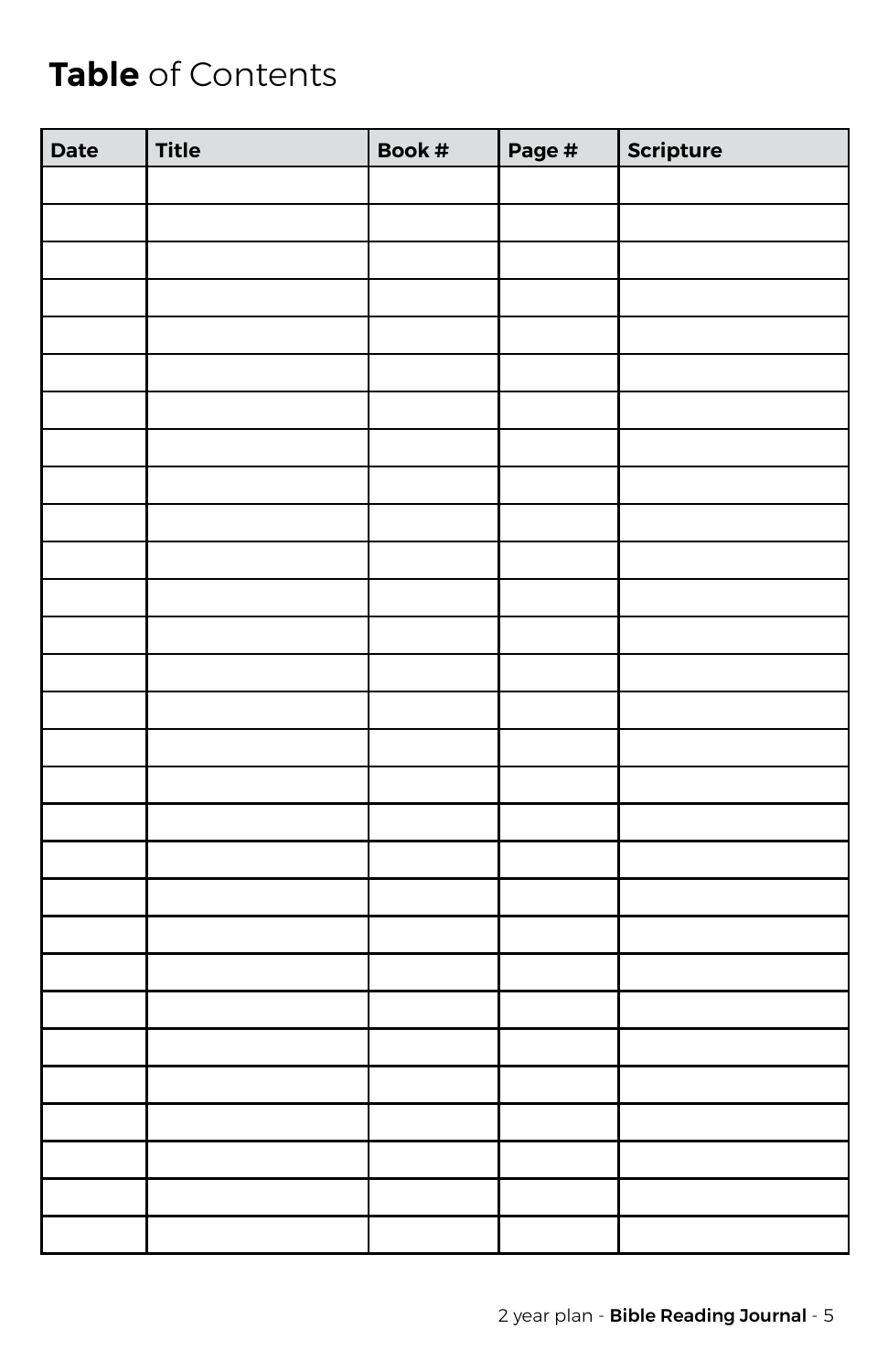# **Table** of Contents

| Date | <b>Title</b> | Book # | Page # | Scripture |
|------|--------------|--------|--------|-----------|
|      |              |        |        |           |
|      |              |        |        |           |
|      |              |        |        |           |
|      |              |        |        |           |
|      |              |        |        |           |
|      |              |        |        |           |
|      |              |        |        |           |
|      |              |        |        |           |
|      |              |        |        |           |
|      |              |        |        |           |
|      |              |        |        |           |
|      |              |        |        |           |
|      |              |        |        |           |
|      |              |        |        |           |
|      |              |        |        |           |
|      |              |        |        |           |
|      |              |        |        |           |
|      |              |        |        |           |
|      |              |        |        |           |
|      |              |        |        |           |
|      |              |        |        |           |
|      |              |        |        |           |
|      |              |        |        |           |
|      |              |        |        |           |
|      |              |        |        |           |
|      |              |        |        |           |
|      |              |        |        |           |
|      |              |        |        |           |
|      |              |        |        |           |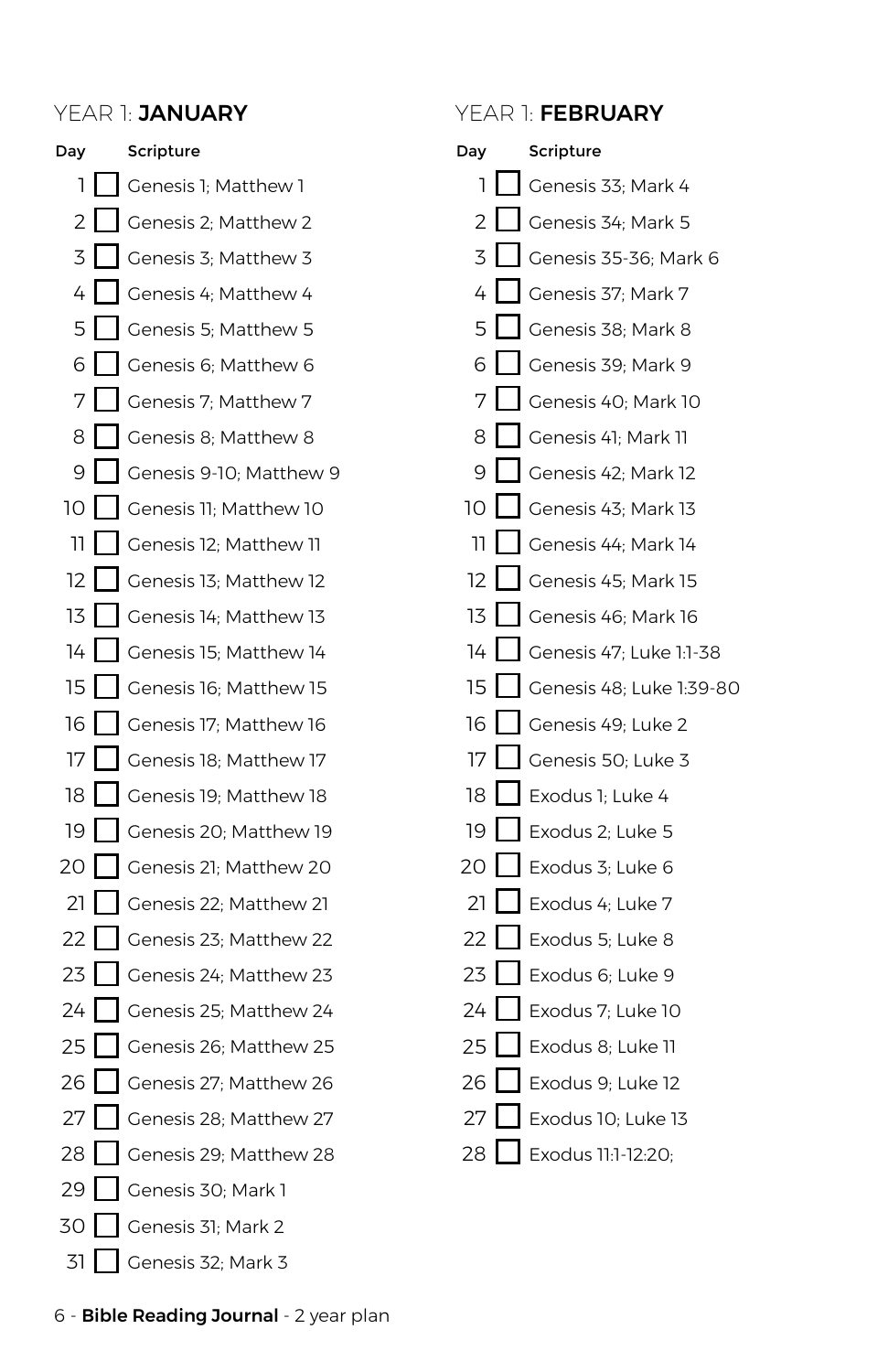| Day |   | Scripture               |
|-----|---|-------------------------|
| 1   |   | Genesis 1; Matthew 1    |
| 2   |   | Genesis 2; Matthew 2    |
| 3   |   | Genesis 3; Matthew 3    |
| 4   |   | Genesis 4; Matthew 4    |
| 5   |   | Genesis 5; Matthew 5    |
| 6   | ı | Genesis 6; Matthew 6    |
| 7   |   | Genesis 7; Matthew 7    |
| 8   |   | Genesis 8; Matthew 8    |
| 9   |   | Genesis 9-10; Matthew 9 |
| 10  |   | Genesis 11; Matthew 10  |
| 11  |   | Genesis 12; Matthew 11  |
| 12  |   | Genesis 13; Matthew 12  |
| 13  |   | Genesis 14; Matthew 13  |
| 14  |   | Genesis 15; Matthew 14  |
| 15  |   | Genesis 16; Matthew 15  |
| 16  |   | Genesis 17; Matthew 16  |
| 17  |   | Genesis 18; Matthew 17  |
| 18  |   | Genesis 19; Matthew 18  |
| 19  |   | Genesis 20; Matthew 19  |
| 20  |   | Genesis 21; Matthew 20  |
| 21  |   | Genesis 22; Matthew 21  |
| 22  |   | Genesis 23; Matthew 22  |
| 23  |   | Genesis 24; Matthew 23  |
| 24  |   | Genesis 25; Matthew 24  |
| 25  |   | Genesis 26; Matthew 25  |
| 26  |   | Genesis 27; Matthew 26  |
| 27  |   | Genesis 28; Matthew 27  |
| 28  |   | Genesis 29; Matthew 28  |
| 29  |   | Genesis 30; Mark 1      |
| 30  |   | Genesis 31; Mark 2      |
| 31  |   | Genesis 32; Mark 3      |

### YEAR 1: JANUARY YEAR 1: FEBRUARY

| Day  |        | Scripture                |
|------|--------|--------------------------|
| 1    |        | Genesis 33; Mark 4       |
| 2    |        | Genesis 34; Mark 5       |
| 3    | I      | Genesis 35-36; Mark 6    |
| 4    |        | Genesis 37; Mark 7       |
| 5    |        | Genesis 38; Mark 8       |
| 6    | I      | Genesis 39; Mark 9       |
| 7    | I      | Genesis 40; Mark 10      |
| 8    |        | Genesis 41; Mark 11      |
| 9    |        | Genesis 42; Mark 12      |
| 10 L |        | Genesis 43; Mark 13      |
| 11.  |        | Genesis 44; Mark 14      |
| 12   |        | Genesis 45; Mark 15      |
| 13 I |        | Genesis 46; Mark 16      |
| 14   | ı      | Genesis 47; Luke 1:1-38  |
| 15.  |        | Genesis 48; Luke 1:39-80 |
| 16   | I      | Genesis 49; Luke 2       |
| 17   | I      | Genesis 50; Luke 3       |
| 18   |        | Exodus 1; Luke 4         |
| 19   | I      | Exodus 2; Luke 5         |
| 20   |        | Exodus 3; Luke 6         |
| 21   | ı      | Exodus 4; Luke 7         |
| 22   | I      | Exodus 5; Luke 8         |
| 23   | I<br>I | Exodus 6; Luke 9         |
| 24   | I      | Exodus 7; Luke 10        |
| 25   | l      | Exodus 8; Luke 11        |
| 26   | I<br>ı | Exodus 9; Luke 12        |
| 27   | I      | Exodus 10; Luke 13       |
| 28   |        | Exodus 11:1-12:20;       |

6 - Bible Reading Journal - 2 year plan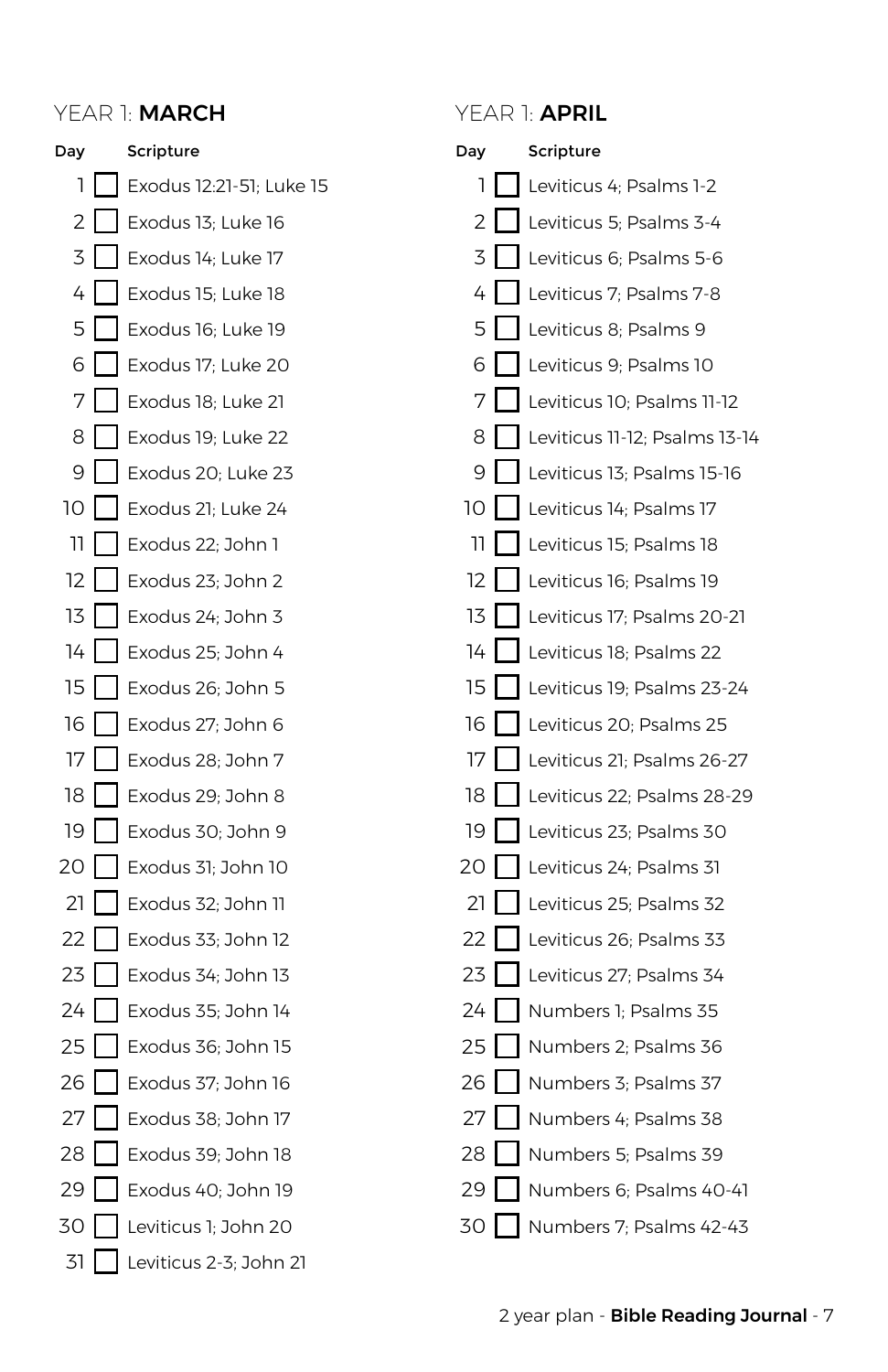### YEAR 1: **MARCH**

| Day            |   | Scripture                |
|----------------|---|--------------------------|
| 1              |   | Exodus 12:21-51; Luke 15 |
| $\overline{c}$ |   | Exodus 13; Luke 16       |
| 3              |   | Exodus 14; Luke 17       |
| 4              | I | Exodus 15; Luke 18       |
| 5              |   | Exodus 16; Luke 19       |
| 6              |   | Exodus 17; Luke 20       |
| 7              |   | Exodus 18; Luke 21       |
| 8              | l | Exodus 19; Luke 22       |
| 9              |   | Exodus 20; Luke 23       |
| 10             |   | Exodus 21; Luke 24       |
| 11             | I | Exodus 22; John 1        |
| 12             |   | Exodus 23; John 2        |
| 13             |   | Exodus 24; John 3        |
| 14             | l | Exodus 25; John 4        |
| 15             |   | Exodus 26; John 5        |
| 16             |   | Exodus 27; John 6        |
| 17             | I | Exodus 28; John 7        |
| 18             |   | Exodus 29; John 8        |
| 19             | I | Exodus 30; John 9        |
| 20             | I | Exodus 31; John 10       |
| 21             |   | Exodus 32; John 11       |
| 22             | I | Exodus 33; John 12       |
| 23             |   | Exodus 34; John 13       |
| 24             |   | Exodus 35; John 14       |
| 25             | I | Exodus 36; John 15       |
| 26             |   | Exodus 37; John 16       |
| 27             |   | Exodus 38; John 17       |
| 28             |   | Exodus 39; John 18       |
| 29             |   | Exodus 40; John 19       |
| 30             |   | Leviticus 1; John 20     |
| 31             |   | Leviticus 2-3; John 21   |

### YEAR 1: **APRIL**

| Day |        | Scripture                     |
|-----|--------|-------------------------------|
| 1   |        | Leviticus 4; Psalms 1-2       |
| 2   |        | Leviticus 5; Psalms 3-4       |
| 3   |        | Leviticus 6; Psalms 5-6       |
| 4   |        | Leviticus 7; Psalms 7-8       |
| 5   |        | Leviticus 8; Psalms 9         |
| 6   |        | Leviticus 9; Psalms 10        |
| 7   |        | Leviticus 10; Psalms 11-12    |
| 8   |        | Leviticus 11-12; Psalms 13-14 |
| 9   |        | Leviticus 13; Psalms 15-16    |
| 10  |        | Leviticus 14; Psalms 17       |
| 11  |        | Leviticus 15; Psalms 18       |
| 12  |        | Leviticus 16; Psalms 19       |
| 13  |        | Leviticus 17; Psalms 20-21    |
| 14  |        | Leviticus 18; Psalms 22       |
| 15  |        | Leviticus 19; Psalms 23-24    |
| 16  |        | Leviticus 20; Psalms 25       |
| 17  |        | Leviticus 21; Psalms 26-27    |
| 18  |        | Leviticus 22; Psalms 28-29    |
| 19  |        | Leviticus 23; Psalms 30       |
| 20  |        | Leviticus 24; Psalms 31       |
| 21  |        | Leviticus 25; Psalms 32       |
| 22  |        | Leviticus 26; Psalms 33       |
| 23  |        | Leviticus 27; Psalms 34       |
| 24  | I      | Numbers 1; Psalms 35          |
| 25  |        | Numbers 2; Psalms 36          |
| 26  | I      | Numbers 3; Psalms 37          |
| 27  | I<br>I | Numbers 4; Psalms 38          |
| 28  |        | Numbers 5; Psalms 39          |
| 29  |        | Numbers 6; Psalms 40-41       |
| 30  |        | Numbers 7; Psalms 42-43       |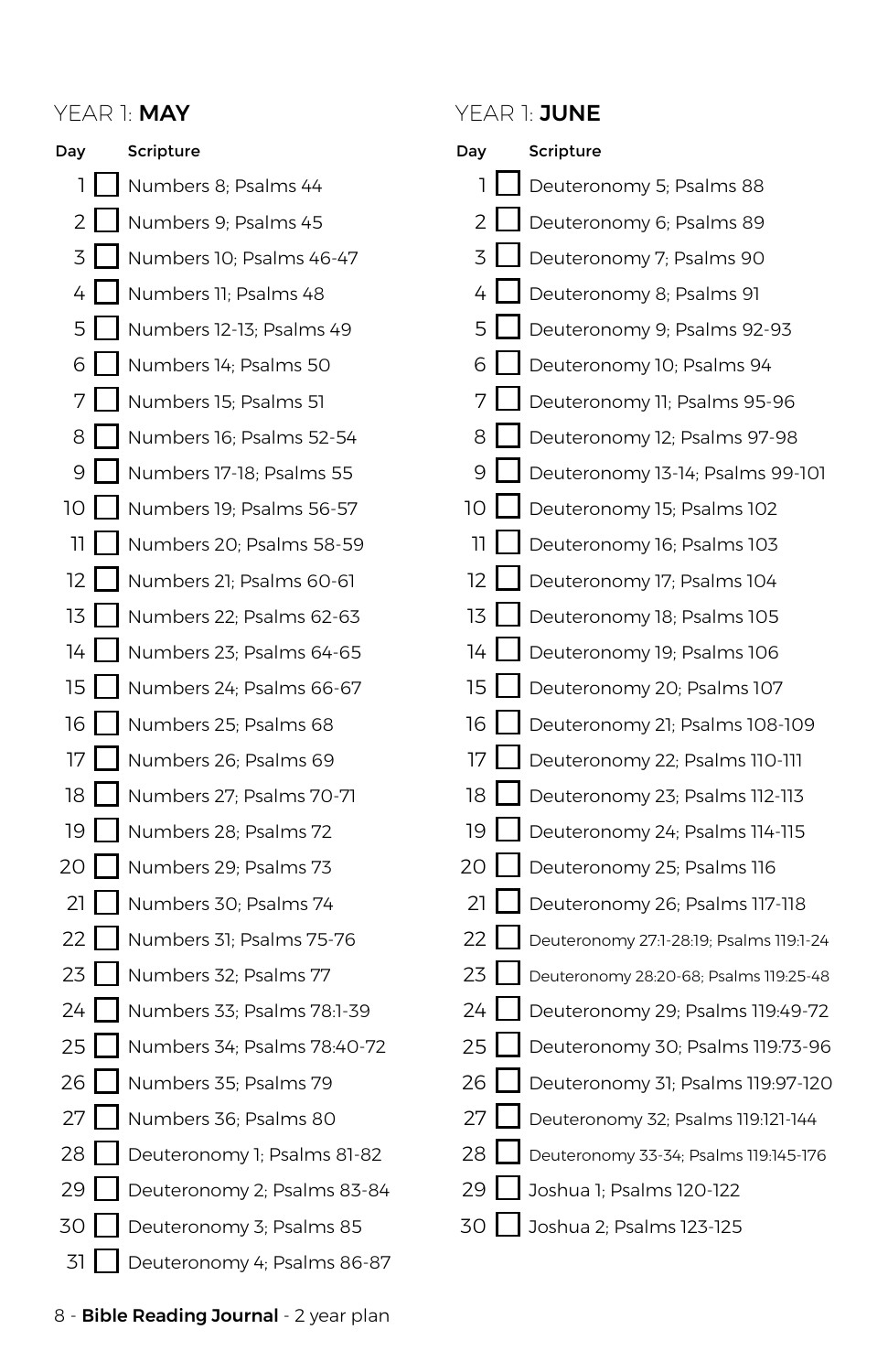### YEAR 1: MAY YEAR 1: JUNE

| Day | Scripture                   | Day             | Scripture                               |
|-----|-----------------------------|-----------------|-----------------------------------------|
| ı   | Numbers 8; Psalms 44        | 1               | Deuteronomy 5; Psalms 88                |
| 2   | Numbers 9: Psalms 45        | $\overline{2}$  | Deuteronomy 6; Psalms 89                |
| 3   | Numbers 10; Psalms 46-47    | 3               | Deuteronomy 7: Psalms 90                |
| 4   | Numbers 11; Psalms 48       | 4               | Deuteronomy 8; Psalms 91                |
| 5   | Numbers 12-13; Psalms 49    | 5               | Deuteronomy 9; Psalms 92-93             |
| 6   | Numbers 14; Psalms 50       | 6               | Deuteronomy 10; Psalms 94               |
| 7   | Numbers 15; Psalms 51       | 7               | Deuteronomy 11; Psalms 95-96            |
| 8   | Numbers 16; Psalms 52-54    | 8               | Deuteronomy 12; Psalms 97-98            |
| 9   | Numbers 17-18; Psalms 55    | 9               | Deuteronomy 13-14; Psalms 99-101        |
| 10  | Numbers 19; Psalms 56-57    | 10              | Deuteronomy 15; Psalms 102              |
| 11  | Numbers 20; Psalms 58-59    | 11              | Deuteronomy 16; Psalms 103              |
| 12  | Numbers 21: Psalms 60-61    | 12 <sup>2</sup> | Deuteronomy 17; Psalms 104              |
| 13  | Numbers 22; Psalms 62-63    | 13              | Deuteronomy 18; Psalms 105              |
| 14  | Numbers 23; Psalms 64-65    | 14              | Deuteronomy 19; Psalms 106              |
| 15  | Numbers 24; Psalms 66-67    | 15              | Deuteronomy 20; Psalms 107              |
| 16  | Numbers 25; Psalms 68       | 16              | Deuteronomy 21; Psalms 108-109          |
| 17  | Numbers 26: Psalms 69       | 17              | Deuteronomy 22; Psalms 110-111          |
| 18  | Numbers 27; Psalms 70-71    | 18              | Deuteronomy 23; Psalms 112-113          |
| 19  | Numbers 28; Psalms 72       | 19              | Deuteronomy 24; Psalms 114-115          |
| 20  | Numbers 29; Psalms 73       | 20              | Deuteronomy 25; Psalms 116              |
| 21  | Numbers 30; Psalms 74       | 21              | Deuteronomy 26; Psalms 117-118          |
| 22  | Numbers 31; Psalms 75-76    | 22              | Deuteronomy 27:1-28:19; Psalms 119:1-24 |
| 23  | Numbers 32; Psalms 77       | 23              | Deuteronomy 28:20-68; Psalms 119:25-48  |
| 24  | Numbers 33: Psalms 78:1-39  | 24              | Deuteronomy 29; Psalms 119:49-72        |
| 25  | Numbers 34; Psalms 78:40-72 | 25              | Deuteronomy 30; Psalms 119:73-96        |
| 26  | Numbers 35; Psalms 79       | 26              | Deuteronomy 31; Psalms 119:97-120       |
| 27  | Numbers 36; Psalms 80       | 27              | Deuteronomy 32; Psalms 119:121-144      |
| 28  | Deuteronomy 1; Psalms 81-82 | 28              | Deuteronomy 33-34; Psalms 119:145-176   |
| 29  | Deuteronomy 2; Psalms 83-84 | 29              | Joshua 1: Psalms 120-122                |
| 30  | Deuteronomy 3: Psalms 85    | 30              | Joshua 2; Psalms 123-125                |
| 31  | Deuteronomy 4; Psalms 86-87 |                 |                                         |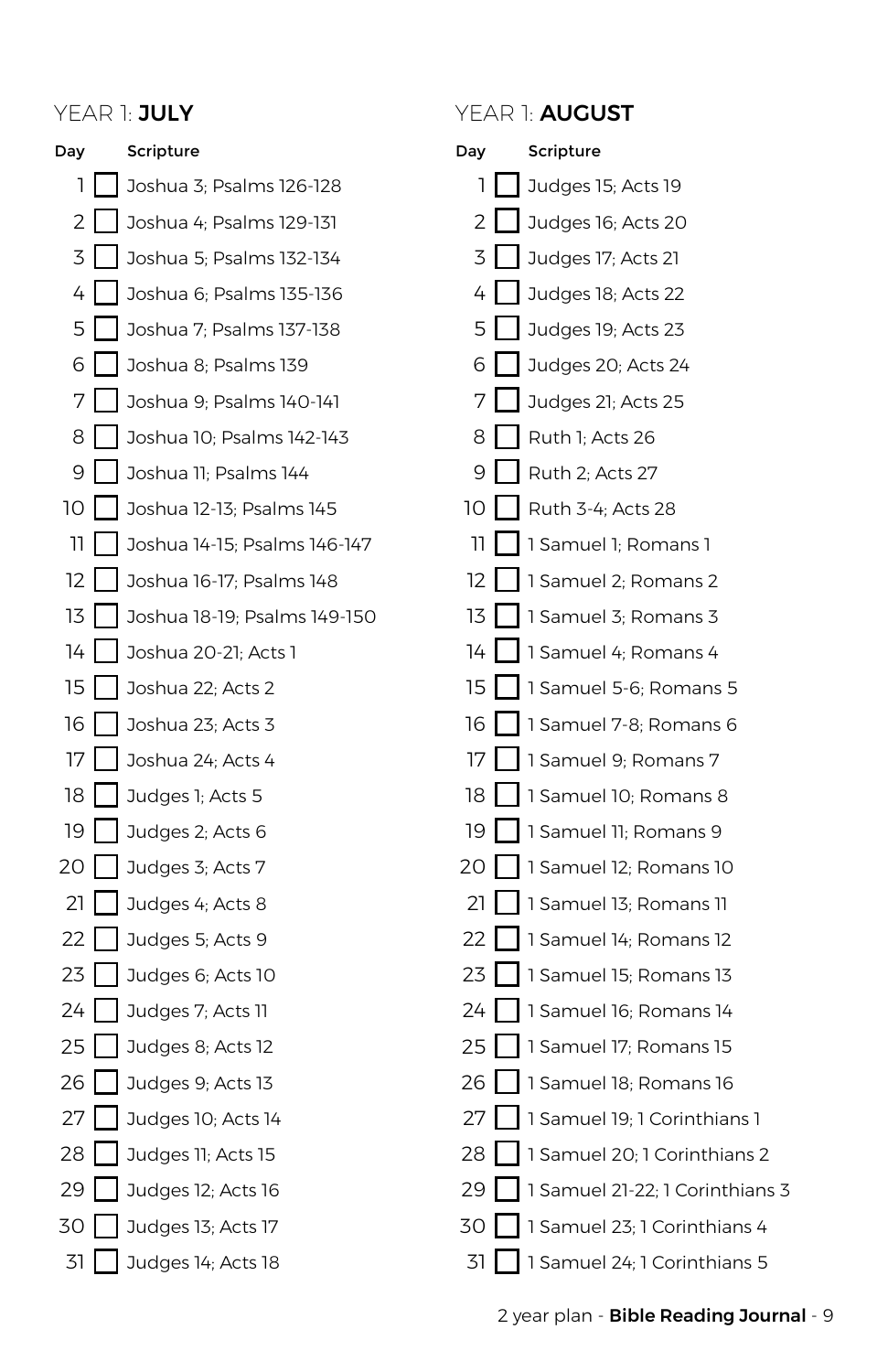

### Day 1  $\overline{2}$ 3 I 4 5 6 I 7 8 I  $\overline{Q}$ 10 I 11 12 I 13 14 I  $15$ 16  $17<sup>1</sup>$ 18 I 19  $20<sup>1</sup>$  $21$  $22<sub>1</sub>$  $23$  $24$ 25 26  $27$ 28 29 l 30 I 31 Scripture Judges 15; Acts 19 Judges 16; Acts 20 Judges 17; Acts 21 Judges 18; Acts 22 Judges 19; Acts 23 Judges 20; Acts 24 Judges 21; Acts 25 Ruth 1; Acts 26 Ruth 2; Acts 27 Ruth 3-4; Acts 28 1 Samuel 1; Romans 1 1 Samuel 2; Romans 2 1 Samuel 3; Romans 3 1 Samuel 4; Romans 4 1 Samuel 5-6; Romans 5 1 Samuel 7-8; Romans 6 1 Samuel 9; Romans 7 1 Samuel 10; Romans 8 1 Samuel 11; Romans 9 1 Samuel 12; Romans 10 1 Samuel 13; Romans 11 1 Samuel 14; Romans 12 1 Samuel 15; Romans 13 1 Samuel 16; Romans 14 1 Samuel 17; Romans 15 1 Samuel 18; Romans 16 1 Samuel 19; 1 Corinthians 1 1 Samuel 20; 1 Corinthians 2 1 Samuel 21-22; 1 Corinthians 3 1 Samuel 23; 1 Corinthians 4 1 Samuel 24; 1 Corinthians 5 YEAR 1: JULY YEAR 1: AUGUST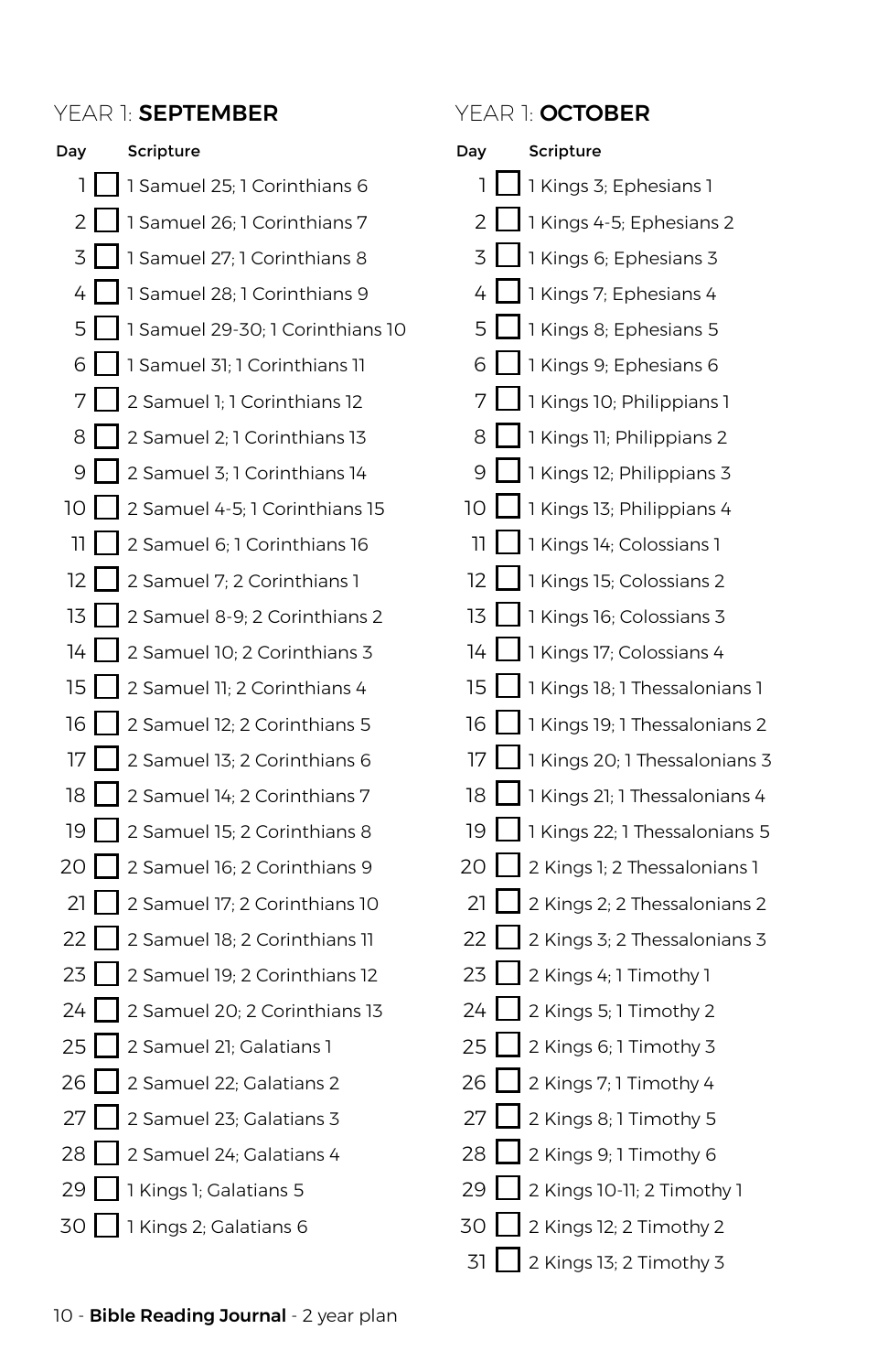### YEAR 1: SEPTEMBER YEAR 1: OCTOBER

| Day                | Scripture                         |
|--------------------|-----------------------------------|
| ı                  | 1 Samuel 25; 1 Corinthians 6      |
| 2                  | 1 Samuel 26; 1 Corinthians 7      |
| 3                  | 1 Samuel 27; 1 Corinthians 8      |
|                    | 4   1 Samuel 28; 1 Corinthians 9  |
| 5                  | 1 Samuel 29-30; 1 Corinthians 10  |
| 6 I                | 1 Samuel 31; 1 Corinthians 11     |
| 7                  | 2 Samuel 1; 1 Corinthians 12      |
| 8                  | 2 Samuel 2; 1 Corinthians 13      |
| 9                  | 2 Samuel 3: 1 Corinthians 14      |
| 10 I               | 2 Samuel 4-5; 1 Corinthians 15    |
| 11.                | 2 Samuel 6; 1 Corinthians 16      |
| 12                 | 2 Samuel 7; 2 Corinthians 1       |
| 13                 | 2 Samuel 8-9; 2 Corinthians 1     |
|                    | 14   2 Samuel 10; 2 Corinthians 3 |
| 15                 | 2 Samuel 11; 2 Corinthians 4      |
| 16                 | 2 Samuel 12; 2 Corinthians 5      |
| 17                 | 2 Samuel 13; 2 Corinthians 6      |
| 18                 | 2 Samuel 14: 2 Corinthians 7      |
| 19 I I             | 2 Samuel 15; 2 Corinthians 8      |
| 20 I               | 2 Samuel 16; 2 Corinthians 9      |
| 21                 | 2 Samuel 17: 2 Corinthians 10     |
| 22                 | 2 Samuel 18; 2 Corinthians 11     |
| 23                 | 2 Samuel 19; 2 Corinthians 12     |
| 24 I I             | 2 Samuel 20; 2 Corinthians 13     |
| 25                 | 2 Samuel 21; Galatians 1          |
| 26                 | 2 Samuel 22; Galatians 2          |
| 27                 | 2 Samuel 23; Galatians 3          |
| 28                 | 2 Samuel 24; Galatians 4          |
| 29 I I             | 1 Kings 1; Galatians 5            |
| 30<br>$\mathbf{I}$ | 1 Kings 2; Galatians 6            |

| Day | Scripture                     |
|-----|-------------------------------|
| 1   | 1 Kings 3; Ephesians 1        |
| 2   | 1 Kings 4-5; Ephesians 2      |
| 3   | 1 Kings 6; Ephesians 3        |
| 4   | 1 Kings 7; Ephesians 4        |
| 5   | 1 Kings 8; Ephesians 5        |
| 6   | 1 Kings 9; Ephesians 6        |
| 7   | 1 Kings 10; Philippians 1     |
| 8   | 1 Kings 11; Philippians 2     |
| 9   | 1 Kings 12; Philippians 3     |
| 10  | 1 Kings 13; Philippians 4     |
| 11  | 1 Kings 14; Colossians 1      |
| 12  | 1 Kings 15; Colossians 2      |
| 13  | 1 Kings 16; Colossians 3      |
| 14  | 1 Kings 17; Colossians 4      |
| 15  | 1 Kings 18; 1 Thessalonians 1 |
| 16  | 1 Kings 19; 1 Thessalonians 2 |
| 17  | 1 Kings 20; 1 Thessalonians 3 |
| 18  | 1 Kings 21; 1 Thessalonians 4 |
| 19  | 1 Kings 22; 1 Thessalonians 5 |
| 20  | 2 Kings 1; 2 Thessalonians 1  |
| 21  | 2 Kings 2; 2 Thessalonians 2  |
| 22  | 2 Kings 3; 2 Thessalonians 3  |
| 23  | 2 Kings 4; 1 Timothy 1        |
| 24  | 2 Kings 5; 1 Timothy 2        |
| 25  | 2 Kings 6; 1 Timothy 3        |
| 26  | 2 Kings 7; 1 Timothy 4        |
| 27  | 2 Kings 8; 1 Timothy 5        |
| 28  | 2 Kings 9; 1 Timothy 6        |
| 29  | 2 Kings 10-11; 2 Timothy 1    |
| 30  | 2 Kings 12; 2 Timothy 2       |
| 31  | 2 Kings 13; 2 Timothy 3       |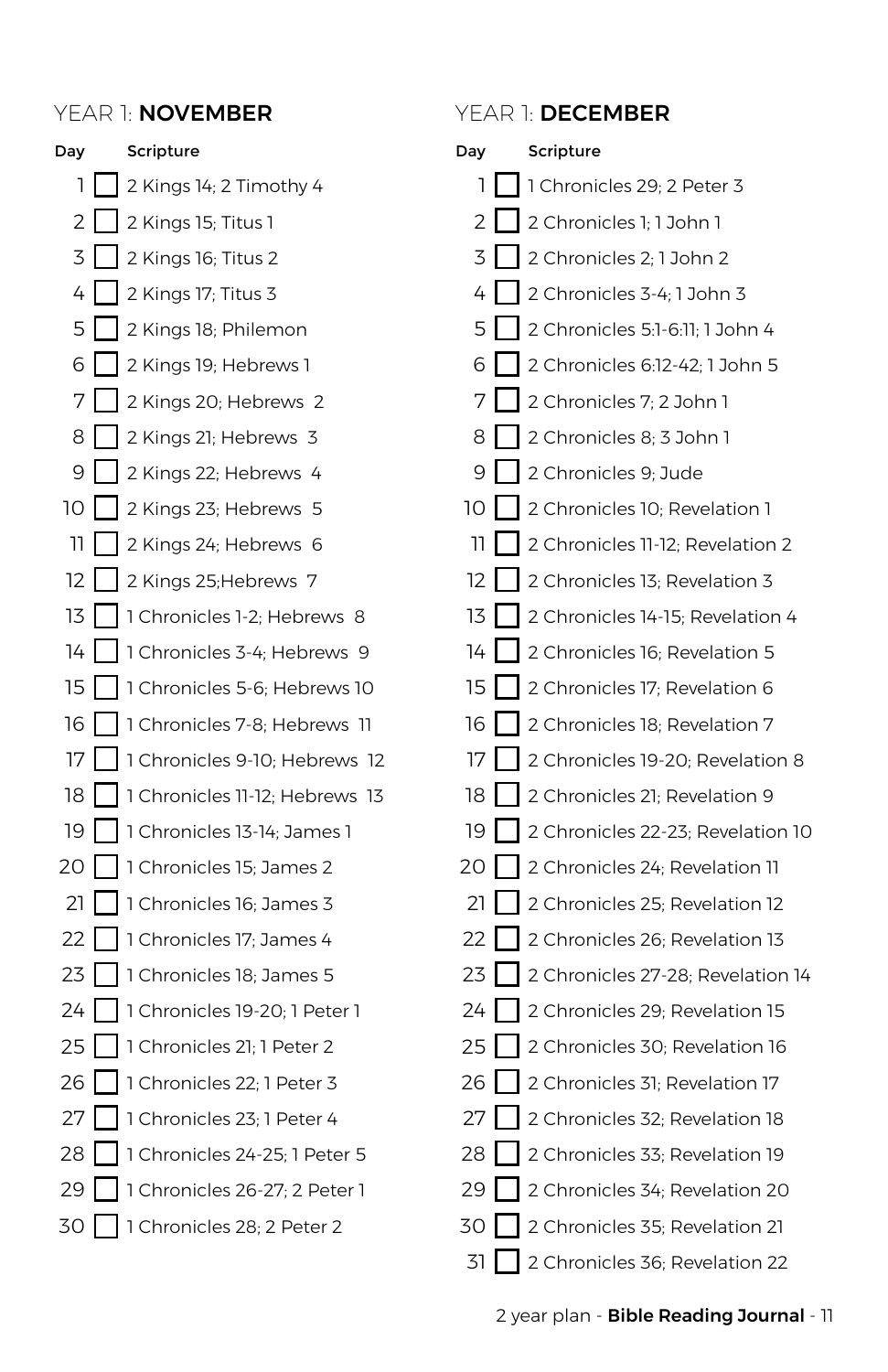| Day | Scripture                                  |
|-----|--------------------------------------------|
| ı   | 2 Kings 14; 2 Timothy 4                    |
| 2   | $\Box$ 2 Kings 15; Titus 1                 |
| 3   | $\Box$ 2 Kings 16; Titus 2                 |
| 4   | $\Box$ 2 Kings 17; Titus 3                 |
| 5   | 2 Kings 18; Philemon                       |
| 6   | 2 Kings 19; Hebrews 1                      |
| 7   | 2 Kings 20; Hebrews 2                      |
| 8   | 2 Kings 21; Hebrews 3                      |
| 9   | 2 Kings 22; Hebrews 4                      |
| 10  | 2 Kings 23; Hebrews 5<br>L                 |
| וו  | 2 Kings 24; Hebrews 6                      |
| 12  | 2 Kings 25; Hebrews 7                      |
| 13  | 1 Chronicles 1-2; Hebrews 8<br>L           |
| 14  | 1 Chronicles 3-4; Hebrews 9                |
| 15  | 1 Chronicles 5-6; Hebrews 10               |
| 16  | 1 Chronicles 7-8; Hebrews 11               |
| 17  | 1 Chronicles 9-10; Hebrews 12              |
| 18  | 1 Chronicles 11-12; Hebrews 13             |
| 19  | 1 Chronicles 13-14; James 1                |
|     | 20   1 Chronicles 15; James 2              |
| 21  | 1 Chronicles 16; James 3                   |
| 22  | 1 Chronicles 17; James 4                   |
| 23  | 1 Chronicles 18; James 5                   |
| 24  | 1 Chronicles 19-20; 1 Peter 1              |
| 25  | 1 Chronicles 21; 1 Peter 2                 |
| 26  | 1 Chronicles 22; 1 Peter 3                 |
| 27  | 1 Chronicles 23; 1 Peter 4                 |
| 28  | 1 Chronicles 24-25; 1 Peter 5              |
| 29  | 1 Chronicles 26-27; 2 Peter 1              |
| 30  | $\mathsf{l}$<br>1 Chronicles 28; 2 Peter 2 |

### YEAR 1: NOVEMBER YEAR 1: DECEMBER

| Day | Scripture                         |
|-----|-----------------------------------|
| 1   | 1 Chronicles 29; 2 Peter 3        |
| 2   | 2 Chronicles 1; 1 John 1          |
| 3   | 2 Chronicles 2; 1 John 2          |
| 4   | 2 Chronicles 3-4; 1 John 3        |
| 5   | 2 Chronicles 5:1-6:11; 1 John 4   |
| 6   | 2 Chronicles 6:12-42; 1 John 5    |
| 7   | 2 Chronicles 7; 2 John 1          |
| 8   | 2 Chronicles 8; 3 John 1          |
| 9   | 2 Chronicles 9; Jude              |
| 10  | 2 Chronicles 10; Revelation 1     |
| וו  | 2 Chronicles 11-12; Revelation 2  |
| 12  | 2 Chronicles 13; Revelation 3     |
| 13  | 2 Chronicles 14-15; Revelation 4  |
| 14  | 2 Chronicles 16; Revelation 5     |
| 15  | 2 Chronicles 17; Revelation 6     |
| 16  | 2 Chronicles 18; Revelation 7     |
| 17  | 2 Chronicles 19-20; Revelation 8  |
| 18  | 2 Chronicles 21; Revelation 9     |
| 19  | 2 Chronicles 22-23; Revelation 10 |
| 20  | 2 Chronicles 24; Revelation 11    |
| 21  | 2 Chronicles 25; Revelation 12    |
| 22  | 2 Chronicles 26; Revelation 13    |
| 23  | 2 Chronicles 27-28; Revelation 14 |
| 24  | 2 Chronicles 29; Revelation 15    |
| 25  | 2 Chronicles 30; Revelation 16    |
| 26  | 2 Chronicles 31; Revelation 17    |
| 27  | 2 Chronicles 32; Revelation 18    |
| 28  | 2 Chronicles 33; Revelation 19    |
| 29  | 2 Chronicles 34; Revelation 20    |
| 30  | 2 Chronicles 35; Revelation 21    |
| 31  | 2 Chronicles 36; Revelation 22    |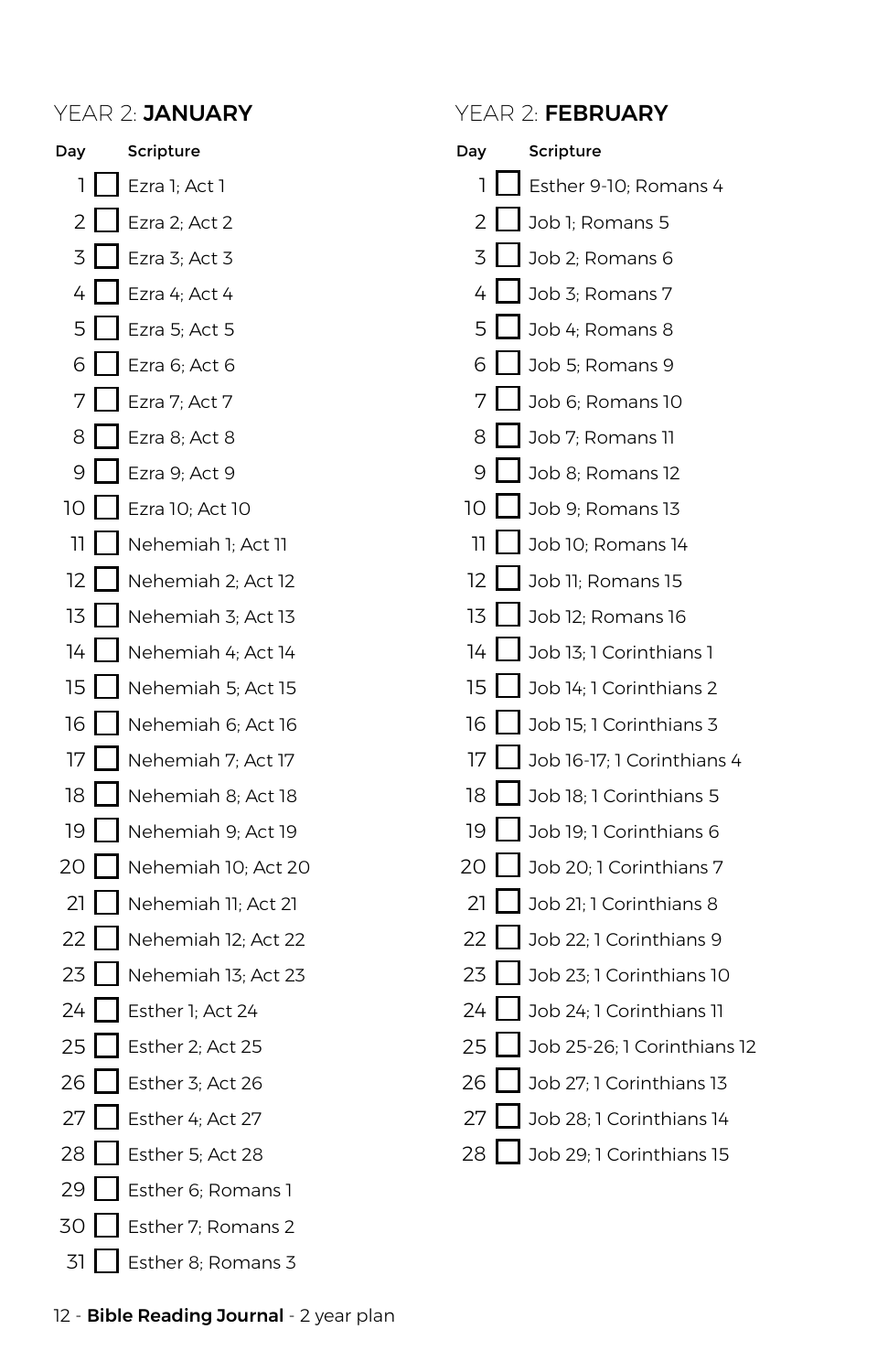Day 1 2 3 I 4 5 I 6 7 8 9 10 I 11  $12<sup>1</sup>$ 13 I  $14<sub>1</sub>$  $15<sub>1</sub>$ 16  $17<sup>1</sup>$ 18 I 19  $20<sub>1</sub>$  $21$  $22$  $23$  $24$ 25 26  $27$ 28 29 Esther 6; Romans 1 30 Esther 7; Romans 2 31 Scripture Ezra 1; Act 1 Ezra 2: Act 2 Ezra 3: Act 3  $\angle$  Ezra 4; Act 4 Ezra 5; Act 5 Ezra 6; Act 6 Ezra 7; Act 7 Ezra 8; Act 8 Ezra 9; Act 9 Ezra 10; Act 10 Nehemiah 1; Act 11 Nehemiah 2; Act 12 Nehemiah 3; Act 13 Nehemiah 4; Act 14 Nehemiah 5; Act 15 Nehemiah 6; Act 16 Nehemiah 7; Act 17 Nehemiah 8; Act 18 Nehemiah 9; Act 19 Nehemiah 10; Act 20 Nehemiah 11; Act 21 Nehemiah 12; Act 22 Nehemiah 13; Act 23 Esther 1; Act 24 Esther 2; Act 25 Esther 3: Act 26 Esther 4: Act 27 Esther 5; Act 28 Esther 8; Romans 3

### Day 1  $\overline{2}$  $\overline{z}$ 4 5  $6<sup>1</sup>$ 7 8  $\overline{Q}$ 10 11  $12<sub>12</sub>$ 13 I  $14$ 15 า<sub>6</sub> 1 17 18 19  $20<sub>1</sub>$  $21$  $22$  $23$  $24$ 25  $26<sub>1</sub>$ 27 28 Job 29; 1 Corinthians 15 **Scripture** Esther 9-10; Romans 4 Job 1; Romans 5 Job 2; Romans 6 Job 3; Romans 7 Job 4; Romans 8 Job 5; Romans 9 Job 6; Romans 10 Job 7; Romans 11 Job 8; Romans 12 Job 9; Romans 13 Job 10; Romans 14 Job 11; Romans 15 Job 12; Romans 16 Job 13; 1 Corinthians 1 Job 14; 1 Corinthians 2 Job 15; 1 Corinthians 3 Job 16-17; 1 Corinthians 4 Job 18: 1 Corinthians 5 Job 19; 1 Corinthians 6 Job 20: 1 Corinthians 7 Job 21; 1 Corinthians 8 Job 22; 1 Corinthians 9 Job 23; 1 Corinthians 10 Job 24; 1 Corinthians 11 Job 25-26; 1 Corinthians 12 Job 27: 1 Corinthians 13 Job 28: 1 Corinthians 14 YEAR 2: JANUARY YEAR 2: FEBRUARY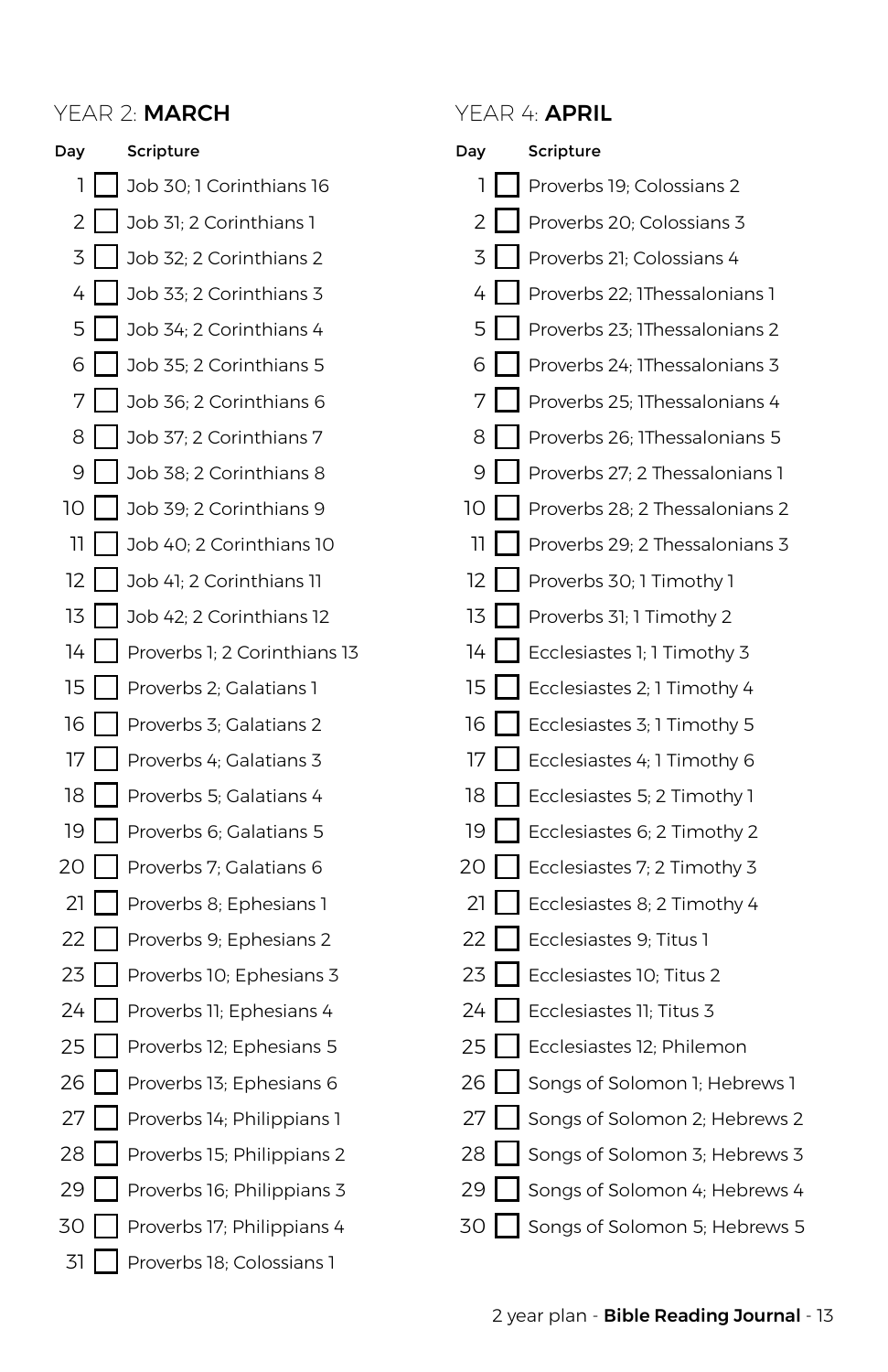### YEAR 2: MARCH YEAR 4: APRIL



| Day | Scripture                      |
|-----|--------------------------------|
| ı   | Proverbs 19; Colossians 2      |
| 2   | Proverbs 20; Colossians 3      |
| 3   | Proverbs 21; Colossians 4      |
| 4   | Proverbs 22; IThessalonians 1  |
| 5   | Proverbs 23; IThessalonians 2  |
| 6   | Proverbs 24; IThessalonians 3  |
| 7   | Proverbs 25; IThessalonians 4  |
| 8   | Proverbs 26; IThessalonians 5  |
| 9   | Proverbs 27; 2 Thessalonians 1 |
| 10  | Proverbs 28; 2 Thessalonians 2 |
| וו  | Proverbs 29; 2 Thessalonians 3 |
| 12  | Proverbs 30; 1 Timothy 1       |
| 13  | Proverbs 31; 1 Timothy 2       |
| 14  | Ecclesiastes 1; 1 Timothy 3    |
| 15  | Ecclesiastes 2; 1 Timothy 4    |
| 16  | Ecclesiastes 3; 1 Timothy 5    |
| 17  | Ecclesiastes 4; 1 Timothy 6    |
| 18  | Ecclesiastes 5; 2 Timothy 1    |
| 19  | Ecclesiastes 6; 2 Timothy 2    |
| 20  | Ecclesiastes 7; 2 Timothy 3    |
| 21  | Ecclesiastes 8; 2 Timothy 4    |
| 22  | Ecclesiastes 9; Titus 1        |
| 23  | Ecclesiastes 10; Titus 2       |
| 24  | Ecclesiastes 11; Titus 3       |
| 25  | Ecclesiastes 12; Philemon      |
| 26  | Songs of Solomon 1; Hebrews 1  |
| 27  | Songs of Solomon 2; Hebrews 2  |
| 28  | Songs of Solomon 3; Hebrews 3  |
| 29  | Songs of Solomon 4; Hebrews 4  |
| 30  | Songs of Solomon 5; Hebrews 5  |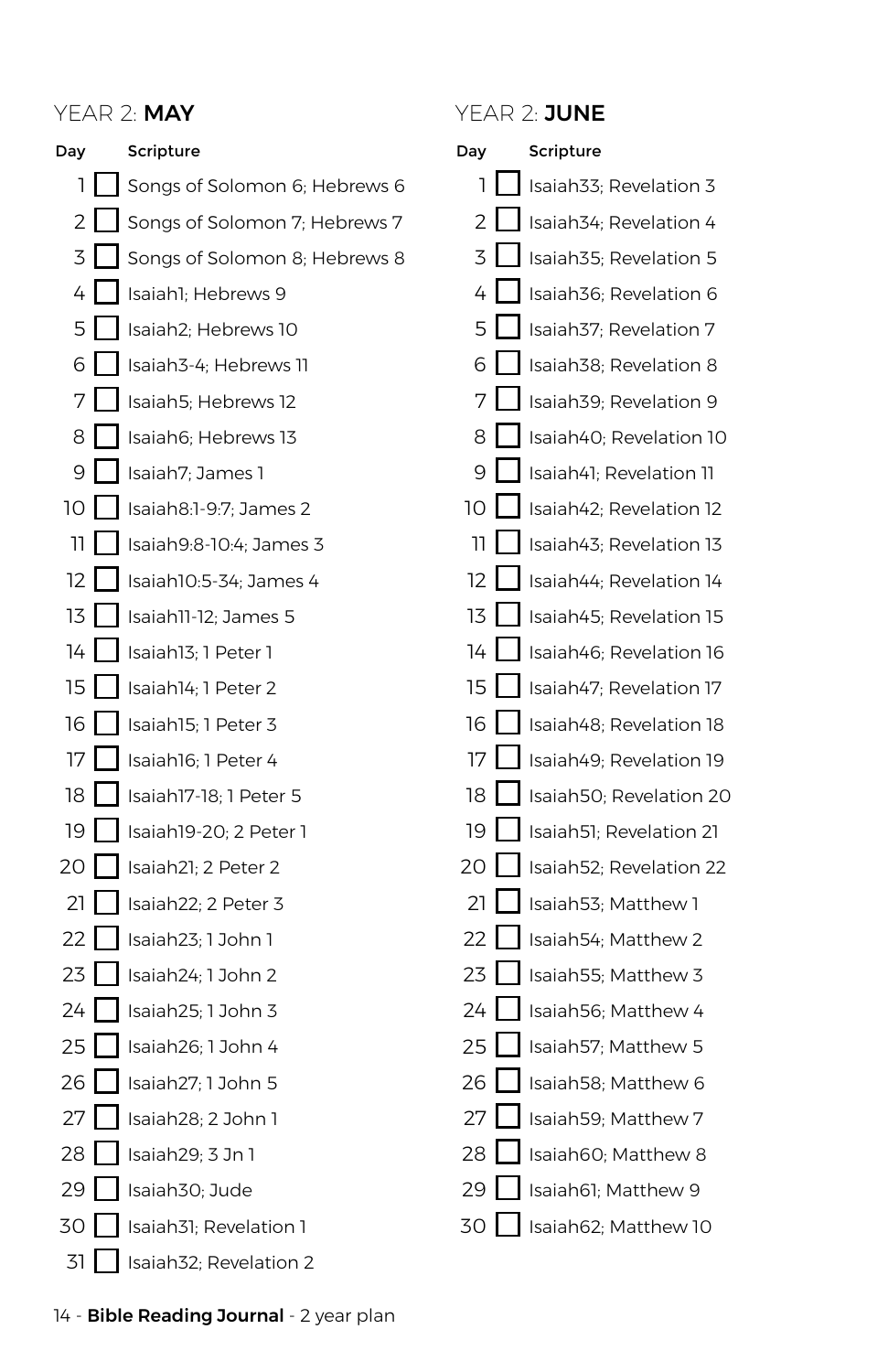### YFAR 2: MAY YEAR 2: JUNE



### Day 1 2 l  $\overline{z}$ 4 5  $6<sup>1</sup>$ 7 8  $\overline{Q}$ 10 11  $12<sub>12</sub>$ 13  $14$ 15 16 17 18 19  $20<sup>1</sup>$ 21 22  $23$ 24 25 26 27 28 29 **Scripture** Isaiah33; Revelation 3 Isaiah34; Revelation 4 Isaiah35; Revelation 5 Isaiah36; Revelation 6 Isaiah37; Revelation 7 Isaiah38; Revelation 8 Isaiah39; Revelation 9 Isaiah40; Revelation 10 Isaiah41; Revelation 11 Isaiah42; Revelation 12 Isaiah43; Revelation 13 Isaiah44; Revelation 14 Isaiah45; Revelation 15 Isaiah46; Revelation 16 Isaiah47; Revelation 17 Isaiah48; Revelation 18 Isaiah49; Revelation 19 Isaiah50; Revelation 20 Isaiah51; Revelation 21 Isaiah52; Revelation 22 Isaiah53; Matthew 1 Isaiah54; Matthew 2 Isaiah55; Matthew 3 Isaiah56; Matthew 4 Isaiah57; Matthew 5 Isaiah58; Matthew 6 Isaiah59; Matthew 7 Isaiah60; Matthew 8 Isaiah61; Matthew 9

30 Isaiah62; Matthew 10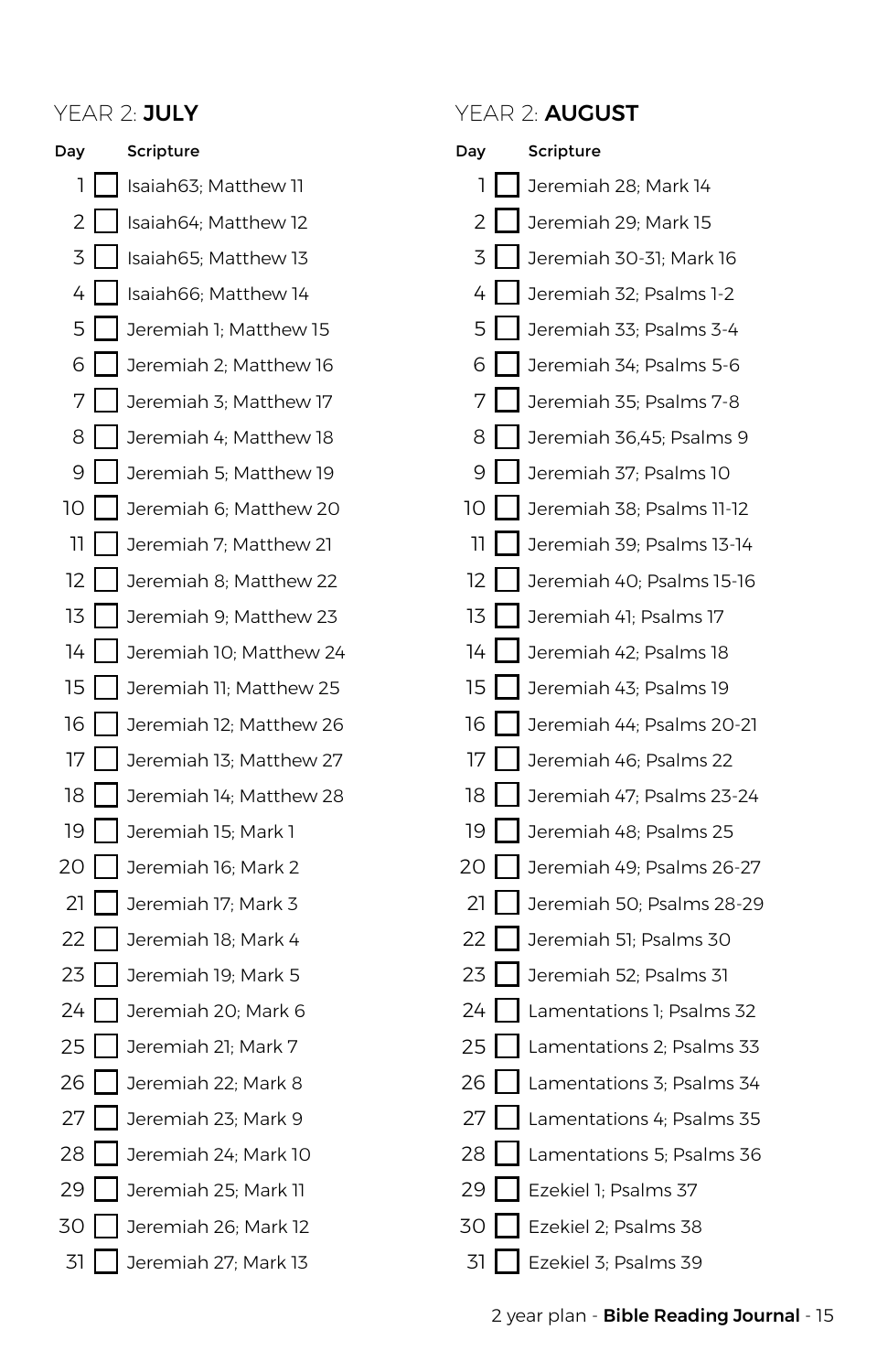Day 1 2 3 4 5 6 7 8 9 10 11  $12<sup>1</sup>$ 13  $14$  $15$ 16  $17<sup>1</sup>$ 18 I 19 20 I  $21$ 22 23  $24$ 25 26  $27<sup>1</sup>$ 28 29 I 30 I 31 Scripture Isaiah63; Matthew 11 Isaiah64; Matthew 12 Isaiah65; Matthew 13 Isaiah66; Matthew 14 Jeremiah 1; Matthew 15 Jeremiah 2; Matthew 16 Jeremiah 3; Matthew 17 Jeremiah 4; Matthew 18 Jeremiah 5; Matthew 19 Jeremiah 6; Matthew 20 Jeremiah 7; Matthew 21 Jeremiah 8; Matthew 22 Jeremiah 9; Matthew 23 Jeremiah 10; Matthew 24 Jeremiah 11; Matthew 25 Jeremiah 12; Matthew 26 Jeremiah 13; Matthew 27 Jeremiah 14; Matthew 28 Jeremiah 15; Mark 1 Jeremiah 16; Mark 2 Jeremiah 17; Mark 3 Jeremiah 18; Mark 4 Jeremiah 19; Mark 5 Jeremiah 20; Mark 6 Jeremiah 21; Mark 7 Jeremiah 22; Mark 8 Jeremiah 23; Mark 9 Jeremiah 24; Mark 10 Jeremiah 25; Mark 11 Jeremiah 26; Mark 12 Jeremiah 27; Mark 13

### YEAR 2: JULY YEAR 2: AUGUST

| Day |                   | Scripture                 |
|-----|-------------------|---------------------------|
| 1   |                   | Jeremiah 28; Mark 14      |
| 2   |                   | Jeremiah 29; Mark 15      |
| 3   |                   | Jeremiah 30-31; Mark 16   |
| 4   |                   | Jeremiah 32; Psalms 1-2   |
| 5   |                   | Jeremiah 33; Psalms 3-4   |
| 6   |                   | Jeremiah 34; Psalms 5-6   |
| 7   | $\mathbf{I}$      | Jeremiah 35; Psalms 7-8   |
| 8   |                   | Jeremiah 36,45; Psalms 9  |
| 9   |                   | Jeremiah 37; Psalms 10    |
| 10  | I                 | Jeremiah 38; Psalms 11-12 |
| וו  |                   | Jeremiah 39; Psalms 13-14 |
| 12  |                   | Jeremiah 40; Psalms 15-16 |
| 13  | ı<br>$\mathbf{I}$ | Jeremiah 41; Psalms 17    |
| 14  |                   | Jeremiah 42; Psalms 18    |
| 15  |                   | Jeremiah 43; Psalms 19    |
| 16  | $\blacksquare$    | Jeremiah 44; Psalms 20-21 |
| 17  |                   | Jeremiah 46; Psalms 22    |
| 18  |                   | Jeremiah 47; Psalms 23-24 |
| 19  | ı                 | Jeremiah 48; Psalms 25    |
| 20  |                   | Jeremiah 49; Psalms 26-27 |
| 21  |                   | Jeremiah 50; Psalms 28-29 |
| 22  | I                 | Jeremiah 51; Psalms 30    |
| 23  |                   | Jeremiah 52; Psalms 31    |
| 24  |                   | Lamentations 1; Psalms 32 |
| 25  |                   | Lamentations 2; Psalms 33 |
| 26  |                   | Lamentations 3; Psalms 34 |
| 27  |                   | Lamentations 4; Psalms 35 |
| 28  | I                 | Lamentations 5; Psalms 36 |
| 29  |                   | Ezekiel 1; Psalms 37      |
| 30  |                   | Ezekiel 2; Psalms 38      |
| 31  | I<br>I            | Ezekiel 3; Psalms 39      |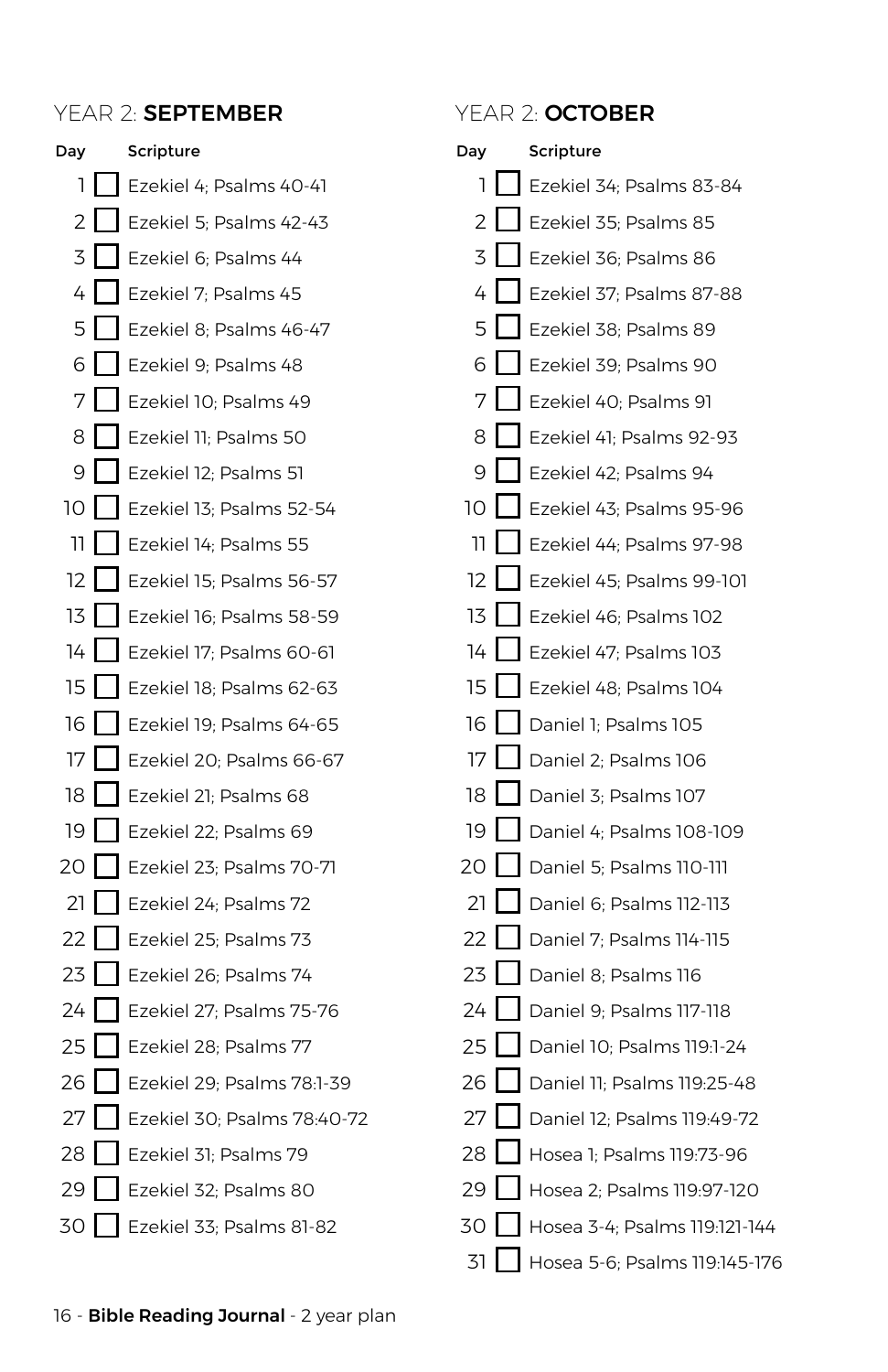### YEAR 2: SEPTEMBER YEAR 2: OCTOBER



| Day |             | Scripture                     |
|-----|-------------|-------------------------------|
| 1   |             | Ezekiel 34; Psalms 83-84      |
| 2   |             | Ezekiel 35; Psalms 85         |
| 3   |             | Ezekiel 36; Psalms 86         |
| 4   | L<br>I      | Ezekiel 37; Psalms 87-88      |
| 5   |             | Ezekiel 38; Psalms 89         |
| 6   |             | Ezekiel 39; Psalms 90         |
| 7   |             | Ezekiel 40; Psalms 91         |
| 8   |             | Ezekiel 41; Psalms 92-93      |
| 9   | L           | Ezekiel 42; Psalms 94         |
| 10  |             | Ezekiel 43; Psalms 95-96      |
| 11  |             | Ezekiel 44; Psalms 97-98      |
| 12  | I<br>I      | Ezekiel 45; Psalms 99-101     |
| 13  |             | Ezekiel 46; Psalms 102        |
| 14  | L           | Ezekiel 47; Psalms 103        |
| 15  | L           | Ezekiel 48; Psalms 104        |
| 16  |             | Daniel 1; Psalms 105          |
| 17  | I           | Daniel 2; Psalms 106          |
| 18  |             | Daniel 3; Psalms 107          |
| 19  | L           | Daniel 4; Psalms 108-109      |
| 20  | $\mathbf l$ | Daniel 5; Psalms 110-111      |
| 21  |             | Daniel 6; Psalms 112-113      |
| 22  |             | Daniel 7; Psalms 114-115      |
| 23  |             | Daniel 8; Psalms 116          |
| 24  |             | Daniel 9; Psalms 117-118      |
| 25  | I<br>I      | Daniel 10; Psalms 119:1-24    |
| 26  |             | Daniel 11; Psalms 119:25-48   |
| 27  |             | Daniel 12; Psalms 119:49-72   |
| 28  |             | Hosea 1; Psalms 119:73-96     |
| 29  |             | Hosea 2; Psalms 119:97-120    |
| 30  |             | Hosea 3-4; Psalms 119:121-144 |
| 31  |             | Hosea 5-6; Psalms 119:145-176 |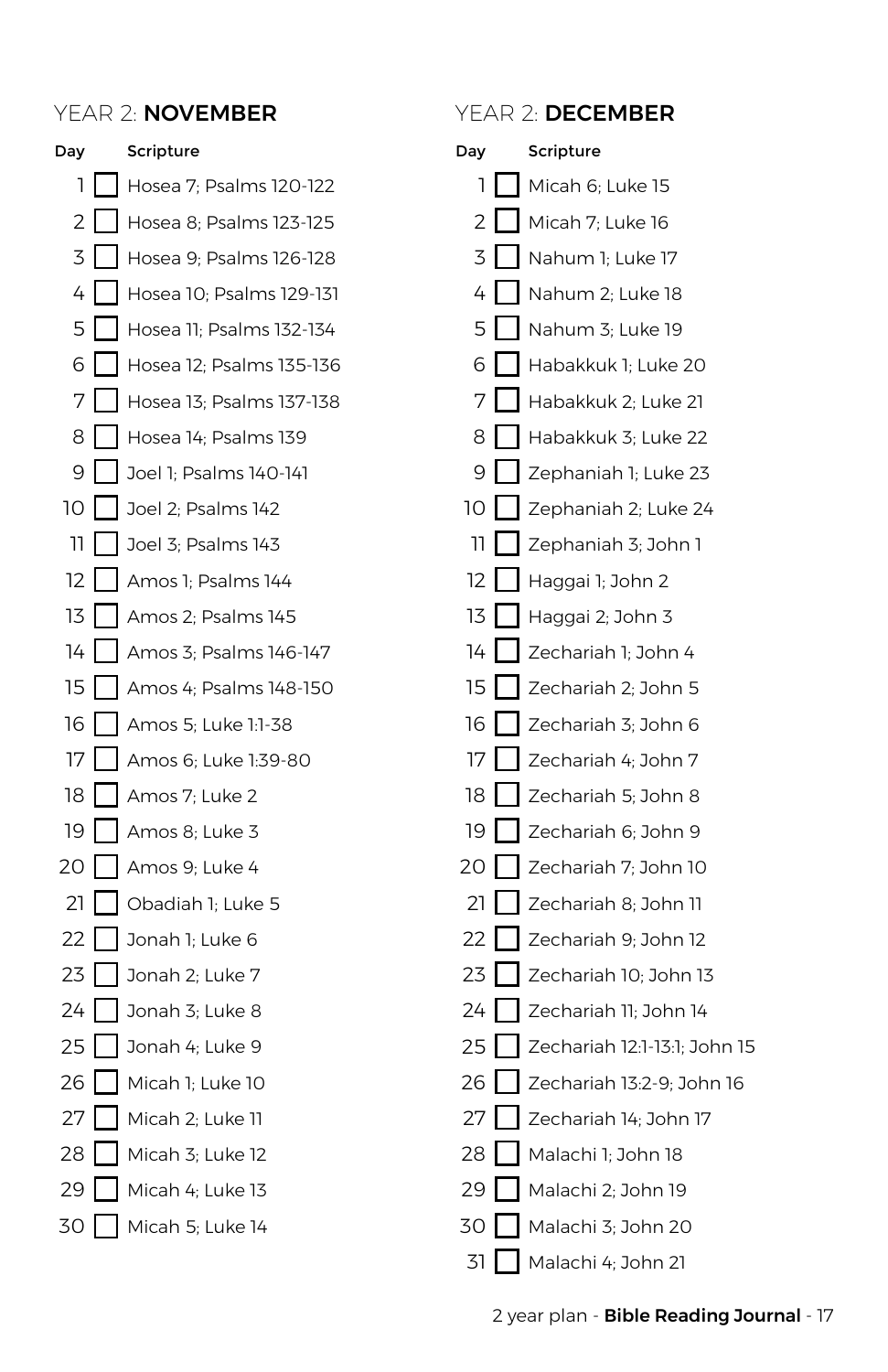

### Day 1  $\overline{2}$  $\overline{z}$ 4 5 6 7 8  $\overline{Q}$ 10 I 11  $12<sup>-12</sup>$ 13  $14<sup>1</sup>$ 15 16 17 18 I 19 20 21 22 23 24 25 26 27 28 29 30 31 Scripture Micah 6; Luke 15 Micah 7; Luke 16 Nahum 1; Luke 17 Nahum 2; Luke 18 Nahum 3; Luke 19 Habakkuk 1; Luke 20 Habakkuk 2; Luke 21 Habakkuk 3; Luke 22 Zephaniah 1; Luke 23 Zephaniah 2; Luke 24 Zephaniah 3; John 1 Haggai 1; John 2 Haggai 2; John 3 Zechariah 1; John 4 Zechariah 2; John 5 Zechariah 3; John 6 Zechariah 4; John 7 Zechariah 5; John 8 Zechariah 6; John 9 Zechariah 7; John 10 Zechariah 8; John 11 Zechariah 9; John 12 Zechariah 10; John 13 Zechariah 11; John 14 Zechariah 12:1-13:1; John 15 Zechariah 13:2-9; John 16 Zechariah 14; John 17 Malachi 1; John 18 Malachi 2; John 19 Malachi 3; John 20 Malachi 4; John 21 YEAR 2: **NOVEMBER** YEAR 2: DECEMBER